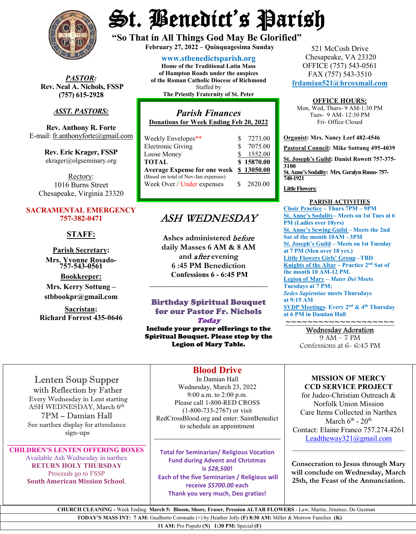

*PASTOR:* **Rev. Neal A. Nichols, FSSP (757) 615-2928** 

#### *ASST. PASTORS:*

**Rev. Anthony R. Forte** E-mail[: fr.anthonyforte@gmail.com](mailto:fr.anthonyforte@gmail.com)

> **Rev. Eric Krager, FSSP** ekrager@olgseminary.org

Rectory: 1016 Burns Street Chesapeake, Virginia 23320

#### **SACRAMENTAL EMERGENCY 757-382-0471**

**STAFF:**

**Parish Secretary: Mrs. Yvonne Rosado- 757-543-0561**

**Bookkeeper: Mrs. Kerry Sottung – stbbookpr@gmail.com**

**Sacristan: Richard Forrest 435-0646**

# St. Benedict's Parish

**"So That in All Things God May Be Glorified" February 27, <sup>2022</sup> – Quinquagesima Sunday**

**[www.stbenedictsparish.org](http://www.stbenedictsparish.org/) Home of the Traditional Latin Mass of Hampton Roads under the auspices of the Roman Catholic Diocese of Richmond** Staffed by **The Priestly Fraternity of St. Peter**

*Parish Finances* **Donations for Week Ending Feb 20, 2022** Weekly Envelopes<sup>\*\*</sup>  $$ 7273.00$ 

| $\ldots$ cent $\ldots$ energies         |              | . <i>.</i> |
|-----------------------------------------|--------------|------------|
| <b>Electronic Giving</b>                | S            | 7075.00    |
| Loose Money                             | <sup>S</sup> | 1552.00    |
| TOTAL                                   |              | \$15870.00 |
| Average Expense for one week \$13050.00 |              |            |
| (Based on total of Nov-Jan expenses)    |              |            |
| Week Over / Under expenses              | S.           | 2820.00    |
|                                         |              |            |

## ASH WEDNESDAY

**Ashes administered** before **daily Masses 6 AM & 8 AM and** after **evening 6 :45 PM Benediction Confessions 6 - 6:45 PM**

#### Birthday Spiritual Bouquet for our Pastor Fr. Nichols **Todav**

**\_\_\_\_\_\_\_\_\_\_\_\_\_\_\_\_\_\_\_\_\_\_\_\_\_\_\_\_\_**

Include your prayer offerings to the Spiritual Bouquet. Please stop by the Legion of Mary Table.

521 McCosh Drive Chesapeake, VA 23320 OFFICE (757) 543-0561 FAX (757) 543-3510 **[frdamian521@hrcoxmail.com](mailto:frdamian521@hrcoxmail.com)**

#### **OFFICE HOURS:**

Mon, Wed, Thurs- 9 AM-1:30 PM Tues- 9 AM- 12:30 PM Fri- Office Closed

**Organist: Mrs. Nancy Lerf 482-4546 Pastoral Council: Mike Sottung 495-4039 St. Joseph's Guild: Daniel Rowett 757-375- 3100 St. Anne's Sodality: Mrs. Geralyn Russo-757- 748-1921**

**Little Flowers:**

#### **PARISH ACTIVITIES**

**Choir Practice – Thurs 7PM – 9PM St. Anne's Sodality– Meets on 1st Tues at 6 PM (Ladies over 18yrs) St. Anne's Sewing Guild – Meets the 2nd Sat of the month 10AM - 3PM St. Joseph's Guild – Meets on 1st Tuesday at 7 PM (Men over 18 yrs.) Little Flowers Girls' Group –TBD Knights of the Altar – Practice 2nd Sat of the month 10 AM-12 PM. Legion of Mary –** *Mater Dei* **Meets Tuesdays at 7 PM;**  *Sedes Sapientiae* **meets Thursdays at 9:15 AM SVDP Meetings- Every 2nd & 4th Thursday at 6 PM in Damian Hall**

# ~~~~~~~~~~~~~~~~~~~~ Wednesday Adoration

9 AM – 7 PM Confessions at 6- 6:45 PM

### Lenten Soup Supper

with Reflection by Father Every Wednesday in Lent starting ASH WEDNESDAY, March 6th

7PM – Damian Hall See narthex display for attendance sign-ups

**\_\_\_\_\_\_\_\_\_\_\_\_\_\_\_\_\_\_\_\_\_\_\_\_\_\_\_\_\_\_\_\_\_\_**

**CHILDREN'S LENTEN OFFERING BOXES**  Available Ash Wednesday in narthex **RETURN HOLY THURSDAY**  Proceeds go to FSSP **South American Mission School**.

**Blood Drive** In Damian Hall Wednesday, March 23, 2022 9:00 a.m. to 2:00 p.m. Please call 1-800-RED CROSS (1-800-733-2767) or visit RedCrossBlood.org and enter: SaintBenedict to schedule an appointment

 $\overline{\phantom{a}}$  , and the set of the set of the set of the set of the set of the set of the set of the set of the set of the set of the set of the set of the set of the set of the set of the set of the set of the set of the s

**Total for Seminarian/ Religious Vocation Fund during Advent and Christmas is** *\$28,500***! Each of the five Seminarian / Religious will receive** *\$5700.00* **each Thank you very much, Deo gratias!**

#### **MISSION OF MERCY CCD SERVICE PROJECT**

for Judeo-Christian Outreach & Norfolk Union Mission Care Items Collected in Narthex March  $6^{\text{th}}$  -  $20^{\text{th}}$ Contact: Elaine Franco 757.274.4261 [Leadtheway321@gmail.com](mailto:Leadtheway321@gmail.com)

**Consecration to Jesus through Mary will conclude on Wednesday, March 25th, the Feast of the Annunciation.**

 $\overline{\phantom{a}}$  , where  $\overline{\phantom{a}}$  , where  $\overline{\phantom{a}}$  ,  $\overline{\phantom{a}}$  ,  $\overline{\phantom{a}}$  ,  $\overline{\phantom{a}}$  ,  $\overline{\phantom{a}}$  ,  $\overline{\phantom{a}}$  ,  $\overline{\phantom{a}}$  ,  $\overline{\phantom{a}}$  ,  $\overline{\phantom{a}}$  ,  $\overline{\phantom{a}}$  ,  $\overline{\phantom{a}}$  ,  $\overline{\phantom{a}}$  ,  $\overline{\phantom{a}}$  ,

 **CHURCH CLEANING -** Week Ending **March 5: Bloom, Shore, Fraser, Pression ALTAR FLOWERS** - Law, Martin, Jiménez, De Guzman **TODAY'S MASS INT: 7 AM:** Gualberto Coronado (+) by Heather Jolly **(F) 8:30 AM:** Miller & Morrow Families **(K)** 

**11 AM:** Pro Populo **(N) 1:30 PM:** Special **(F)**